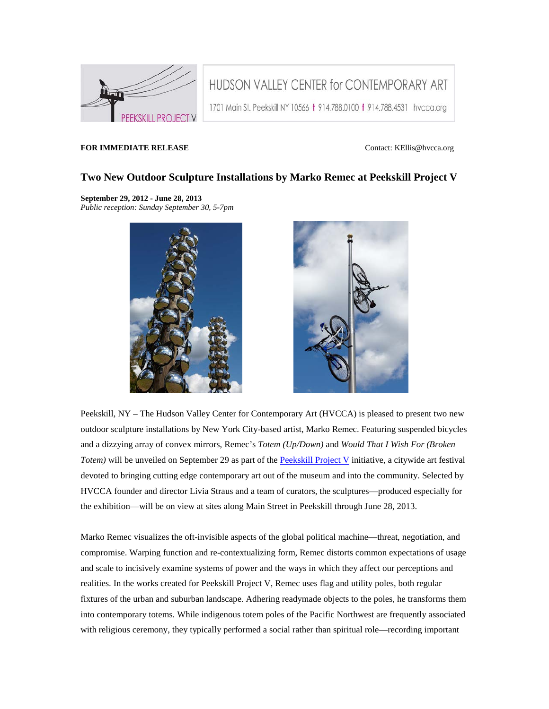

HUDSON VALLEY CENTER for CONTEMPORARY ART

1701 Main St. Peekskill NY 10566 + 914.788.0100 + 914.788.4531 hvcca.org

## **FOR IMMEDIATE RELEASE CONTACTER CONTACTE ASSESSED ASSESSED ASSESSED ASSESSED ASSESSED ASSESSED ASSESSED ASSESSED ASSESSED ASSESSED ASSESSED AND THE ORIGIN OF A LIMIT OF A LIMIT OF A LIMIT OF A LIMIT OF A LIMIT OF A LIMI**

## **Two New Outdoor Sculpture Installations by Marko Remec at Peekskill Project V**

## **September 29, 2012 - June 28, 2013**

*Public reception: Sunday September 30, 5-7pm*





Peekskill, NY – The Hudson Valley Center for Contemporary Art (HVCCA) is pleased to present two new outdoor sculpture installations by New York City-based artist, Marko Remec. Featuring suspended bicycles and a dizzying array of convex mirrors, Remec's *Totem (Up/Down)* and *Would That I Wish For (Broken Totem)* will be unveiled on September 29 as part of the [Peekskill Project V](http://cts.vresp.com/c/?CaroleA.FeuermanScul/112eb860c4/0daa850862/ec0a5b5e00) initiative, a citywide art festival devoted to bringing cutting edge contemporary art out of the museum and into the community. Selected by HVCCA founder and director Livia Straus and a team of curators, the sculptures—produced especially for the exhibition—will be on view at sites along Main Street in Peekskill through June 28, 2013.

Marko Remec visualizes the oft-invisible aspects of the global political machine—threat, negotiation, and compromise. Warping function and re-contextualizing form, Remec distorts common expectations of usage and scale to incisively examine systems of power and the ways in which they affect our perceptions and realities. In the works created for Peekskill Project V, Remec uses flag and utility poles, both regular fixtures of the urban and suburban landscape. Adhering readymade objects to the poles, he transforms them into contemporary totems. While indigenous totem poles of the Pacific Northwest are frequently associated with religious ceremony, they typically performed a social rather than spiritual role—recording important